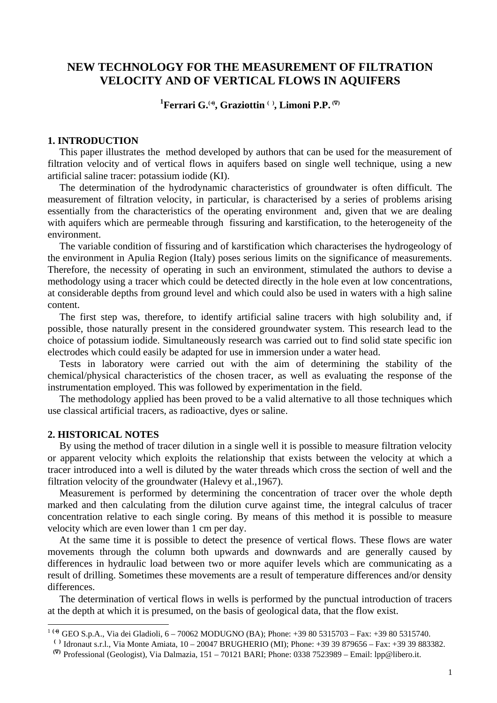# **NEW TECHNOLOGY FOR THE MEASUREMENT OF FILTRATION VELOCITY AND OF VERTICAL FLOWS IN AQUIFERS**

## **1 Ferrari G.(**+**) , Graziottin ( ), Limoni P.P. (**∇**)**

#### **1. INTRODUCTION**

This paper illustrates the method developed by authors that can be used for the measurement of filtration velocity and of vertical flows in aquifers based on single well technique, using a new artificial saline tracer: potassium iodide (KI).

The determination of the hydrodynamic characteristics of groundwater is often difficult. The measurement of filtration velocity, in particular, is characterised by a series of problems arising essentially from the characteristics of the operating environment and, given that we are dealing with aquifers which are permeable through fissuring and karstification, to the heterogeneity of the environment.

The variable condition of fissuring and of karstification which characterises the hydrogeology of the environment in Apulia Region (Italy) poses serious limits on the significance of measurements. Therefore, the necessity of operating in such an environment, stimulated the authors to devise a methodology using a tracer which could be detected directly in the hole even at low concentrations, at considerable depths from ground level and which could also be used in waters with a high saline content.

The first step was, therefore, to identify artificial saline tracers with high solubility and, if possible, those naturally present in the considered groundwater system. This research lead to the choice of potassium iodide. Simultaneously research was carried out to find solid state specific ion electrodes which could easily be adapted for use in immersion under a water head.

Tests in laboratory were carried out with the aim of determining the stability of the chemical/physical characteristics of the chosen tracer, as well as evaluating the response of the instrumentation employed. This was followed by experimentation in the field.

The methodology applied has been proved to be a valid alternative to all those techniques which use classical artificial tracers, as radioactive, dyes or saline.

### **2. HISTORICAL NOTES**

 $\overline{a}$ 

By using the method of tracer dilution in a single well it is possible to measure filtration velocity or apparent velocity which exploits the relationship that exists between the velocity at which a tracer introduced into a well is diluted by the water threads which cross the section of well and the filtration velocity of the groundwater (Halevy et al.,1967).

Measurement is performed by determining the concentration of tracer over the whole depth marked and then calculating from the dilution curve against time, the integral calculus of tracer concentration relative to each single coring. By means of this method it is possible to measure velocity which are even lower than 1 cm per day.

At the same time it is possible to detect the presence of vertical flows. These flows are water movements through the column both upwards and downwards and are generally caused by differences in hydraulic load between two or more aquifer levels which are communicating as a result of drilling. Sometimes these movements are a result of temperature differences and/or density differences.

The determination of vertical flows in wells is performed by the punctual introduction of tracers at the depth at which it is presumed, on the basis of geological data, that the flow exist.

<sup>1</sup> **(**+**)** GEO S.p.A., Via dei Gladioli, 6 – 70062 MODUGNO (BA); Phone: +39 80 5315703 – Fax: +39 80 5315740.

<sup>&</sup>lt;sup>( )</sup> Idronaut s.r.l., Via Monte Amiata, 10 – 20047 BRUGHERIO (MI); Phone: +39 39 879656 – Fax: +39 39 883382.

 **<sup>(</sup>**∇**)** Professional (Geologist), Via Dalmazia, 151 – 70121 BARI; Phone: 0338 7523989 – Email: lpp@libero.it.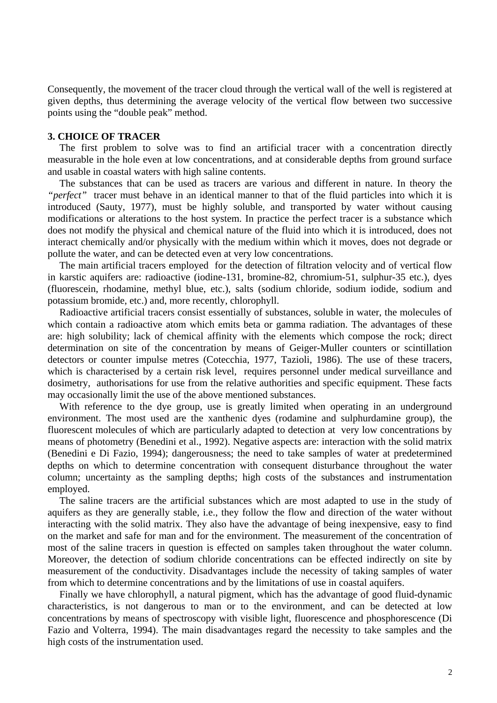Consequently, the movement of the tracer cloud through the vertical wall of the well is registered at given depths, thus determining the average velocity of the vertical flow between two successive points using the "double peak" method.

### **3. CHOICE OF TRACER**

The first problem to solve was to find an artificial tracer with a concentration directly measurable in the hole even at low concentrations, and at considerable depths from ground surface and usable in coastal waters with high saline contents.

The substances that can be used as tracers are various and different in nature. In theory the *"perfect"* tracer must behave in an identical manner to that of the fluid particles into which it is introduced (Sauty, 1977), must be highly soluble, and transported by water without causing modifications or alterations to the host system. In practice the perfect tracer is a substance which does not modify the physical and chemical nature of the fluid into which it is introduced, does not interact chemically and/or physically with the medium within which it moves, does not degrade or pollute the water, and can be detected even at very low concentrations.

The main artificial tracers employed for the detection of filtration velocity and of vertical flow in karstic aquifers are: radioactive (iodine-131, bromine-82, chromium-51, sulphur-35 etc.), dyes (fluorescein, rhodamine, methyl blue, etc.), salts (sodium chloride, sodium iodide, sodium and potassium bromide, etc.) and, more recently, chlorophyll.

Radioactive artificial tracers consist essentially of substances, soluble in water, the molecules of which contain a radioactive atom which emits beta or gamma radiation. The advantages of these are: high solubility; lack of chemical affinity with the elements which compose the rock; direct determination on site of the concentration by means of Geiger-Muller counters or scintillation detectors or counter impulse metres (Cotecchia, 1977, Tazioli, 1986). The use of these tracers, which is characterised by a certain risk level, requires personnel under medical surveillance and dosimetry, authorisations for use from the relative authorities and specific equipment. These facts may occasionally limit the use of the above mentioned substances.

With reference to the dye group, use is greatly limited when operating in an underground environment. The most used are the xanthenic dyes (rodamine and sulphurdamine group), the fluorescent molecules of which are particularly adapted to detection at very low concentrations by means of photometry (Benedini et al., 1992). Negative aspects are: interaction with the solid matrix (Benedini e Di Fazio, 1994); dangerousness; the need to take samples of water at predetermined depths on which to determine concentration with consequent disturbance throughout the water column; uncertainty as the sampling depths; high costs of the substances and instrumentation employed.

The saline tracers are the artificial substances which are most adapted to use in the study of aquifers as they are generally stable, i.e., they follow the flow and direction of the water without interacting with the solid matrix. They also have the advantage of being inexpensive, easy to find on the market and safe for man and for the environment. The measurement of the concentration of most of the saline tracers in question is effected on samples taken throughout the water column. Moreover, the detection of sodium chloride concentrations can be effected indirectly on site by measurement of the conductivity. Disadvantages include the necessity of taking samples of water from which to determine concentrations and by the limitations of use in coastal aquifers.

Finally we have chlorophyll, a natural pigment, which has the advantage of good fluid-dynamic characteristics, is not dangerous to man or to the environment, and can be detected at low concentrations by means of spectroscopy with visible light, fluorescence and phosphorescence (Di Fazio and Volterra, 1994). The main disadvantages regard the necessity to take samples and the high costs of the instrumentation used.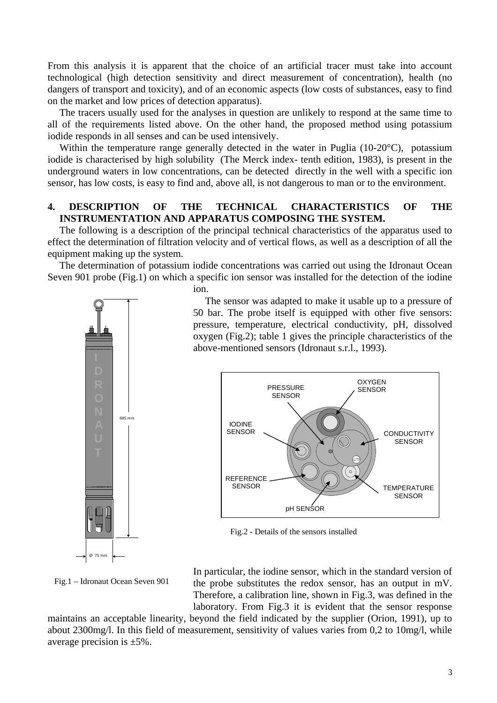From this analysis it is apparent that the choice of an artificial tracer must take into account technological (high detection sensitivity and direct measurement of concentration), health (no dangers of transport and toxicity), and of an economic aspects (low costs of substances, easy to find on the market and low prices of detection apparatus).

The tracers usually used for the analyses in question are unlikely to respond at the same time to all of the requirements listed above. On the other hand, the proposed method using potassium iodide responds in all senses and can be used intensively.

Within the temperature range generally detected in the water in Puglia (10-20°C), potassium iodide is characterised by high solubility (The Merck index- tenth edition, 1983), is present in the underground waters in low concentrations, can be detected directly in the well with a specific ion sensor, has low costs, is easy to find and, above all, is not dangerous to man or to the environment.

### **4. DESCRIPTION OF THE TECHNICAL CHARACTERISTICS OF THE INSTRUMENTATION AND APPARATUS COMPOSING THE SYSTEM.**

The following is a description of the principal technical characteristics of the apparatus used to effect the determination of filtration velocity and of vertical flows, as well as a description of all the equipment making up the system.

The determination of potassium iodide concentrations was carried out using the Idronaut Ocean Seven 901 probe (Fig.1) on which a specific ion sensor was installed for the detection of the iodine



Fig.1 – Idronaut Ocean Seven 901

ion.

The sensor was adapted to make it usable up to a pressure of 50 bar. The probe itself is equipped with other five sensors: pressure, temperature, electrical conductivity, pH, dissolved oxygen (Fig.2); table 1 gives the principle characteristics of the above-mentioned sensors (Idronaut s.r.l., 1993).



Fig.2 - Details of the sensors installed

In particular, the iodine sensor, which in the standard version of the probe substitutes the redox sensor, has an output in mV. Therefore, a calibration line, shown in Fig.3, was defined in the laboratory. From Fig.3 it is evident that the sensor response

maintains an acceptable linearity, beyond the field indicated by the supplier (Orion, 1991), up to about 2300mg/l. In this field of measurement, sensitivity of values varies from 0,2 to 10mg/l, while average precision is ±5%.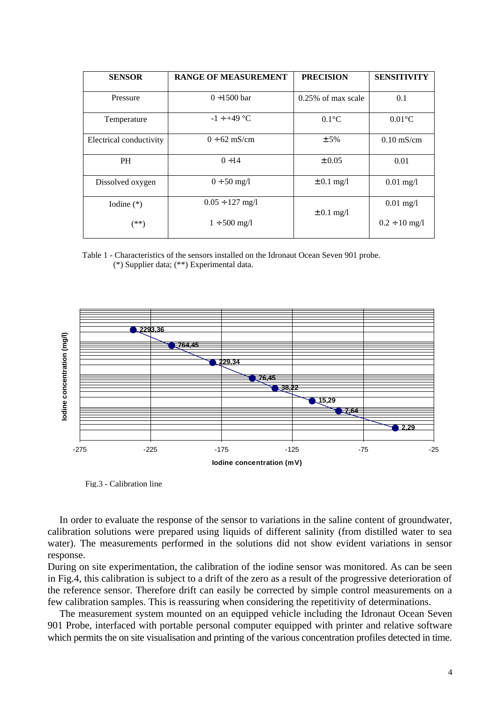| <b>SENSOR</b>           | <b>RANGE OF MEASUREMENT</b> | <b>PRECISION</b>      | <b>SENSITIVITY</b>   |
|-------------------------|-----------------------------|-----------------------|----------------------|
| Pressure                | $0 + 1500$ bar              | $0.25\%$ of max scale | 0.1                  |
| Temperature             | $-1 \div +49$ °C            | $0.1^{\circ}C$        | $0.01^{\circ}$ C     |
| Electrical conductivity | $0 \div 62$ mS/cm           | ± 5%                  | $0.10 \text{ mS/cm}$ |
| <b>PH</b>               | $0 \div 14$                 | $\pm 0.05$            | 0.01                 |
| Dissolved oxygen        | $0 \div 50$ mg/l            | $\pm$ 0.1 mg/l        | $0.01$ mg/l          |
| Iodine $(*)$            | $0.05 \div 127$ mg/l        | $\pm 0.1$ mg/l        | $0.01$ mg/l          |
| (**)                    | $1 \div 500 \text{ mg/l}$   |                       | $0.2 \div 10$ mg/l   |

Table 1 - Characteristics of the sensors installed on the Idronaut Ocean Seven 901 probe. (\*) Supplier data; (\*\*) Experimental data.



Fig.3 - Calibration line

In order to evaluate the response of the sensor to variations in the saline content of groundwater, calibration solutions were prepared using liquids of different salinity (from distilled water to sea water). The measurements performed in the solutions did not show evident variations in sensor response.

During on site experimentation, the calibration of the iodine sensor was monitored. As can be seen in Fig.4, this calibration is subject to a drift of the zero as a result of the progressive deterioration of the reference sensor. Therefore drift can easily be corrected by simple control measurements on a few calibration samples. This is reassuring when considering the repetitivity of determinations.

The measurement system mounted on an equipped vehicle including the Idronaut Ocean Seven 901 Probe, interfaced with portable personal computer equipped with printer and relative software which permits the on site visualisation and printing of the various concentration profiles detected in time.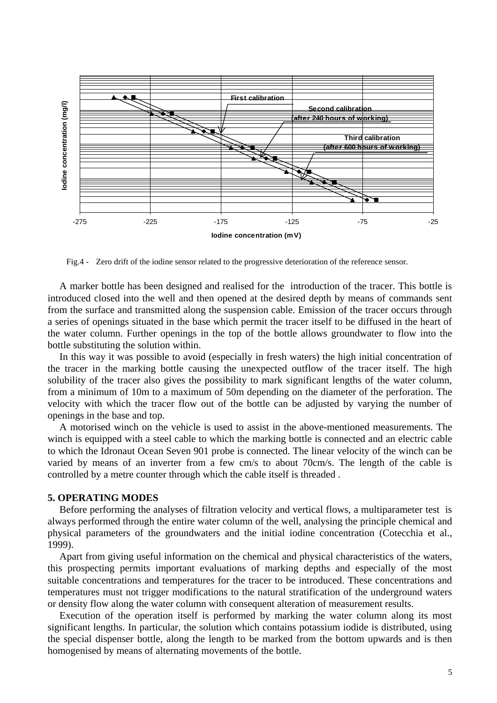

Fig.4 - Zero drift of the iodine sensor related to the progressive deterioration of the reference sensor.

A marker bottle has been designed and realised for the introduction of the tracer. This bottle is introduced closed into the well and then opened at the desired depth by means of commands sent from the surface and transmitted along the suspension cable. Emission of the tracer occurs through a series of openings situated in the base which permit the tracer itself to be diffused in the heart of the water column. Further openings in the top of the bottle allows groundwater to flow into the bottle substituting the solution within.

In this way it was possible to avoid (especially in fresh waters) the high initial concentration of the tracer in the marking bottle causing the unexpected outflow of the tracer itself. The high solubility of the tracer also gives the possibility to mark significant lengths of the water column, from a minimum of 10m to a maximum of 50m depending on the diameter of the perforation. The velocity with which the tracer flow out of the bottle can be adjusted by varying the number of openings in the base and top.

A motorised winch on the vehicle is used to assist in the above-mentioned measurements. The winch is equipped with a steel cable to which the marking bottle is connected and an electric cable to which the Idronaut Ocean Seven 901 probe is connected. The linear velocity of the winch can be varied by means of an inverter from a few cm/s to about 70cm/s. The length of the cable is controlled by a metre counter through which the cable itself is threaded .

### **5. OPERATING MODES**

Before performing the analyses of filtration velocity and vertical flows, a multiparameter test is always performed through the entire water column of the well, analysing the principle chemical and physical parameters of the groundwaters and the initial iodine concentration (Cotecchia et al., 1999).

Apart from giving useful information on the chemical and physical characteristics of the waters, this prospecting permits important evaluations of marking depths and especially of the most suitable concentrations and temperatures for the tracer to be introduced. These concentrations and temperatures must not trigger modifications to the natural stratification of the underground waters or density flow along the water column with consequent alteration of measurement results.

Execution of the operation itself is performed by marking the water column along its most significant lengths. In particular, the solution which contains potassium iodide is distributed, using the special dispenser bottle, along the length to be marked from the bottom upwards and is then homogenised by means of alternating movements of the bottle.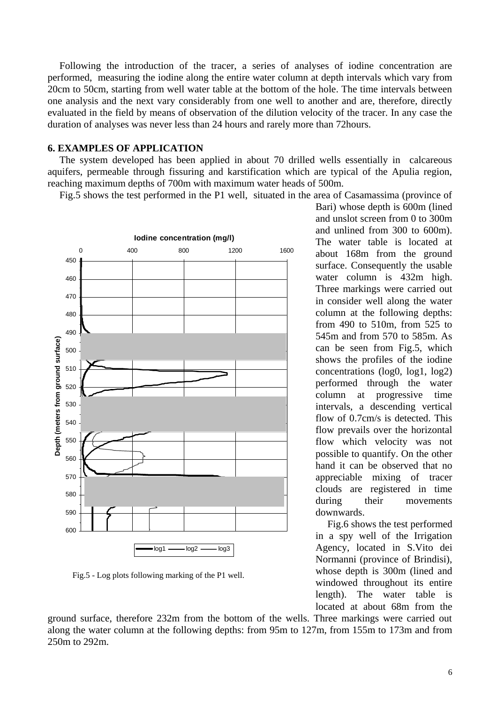Following the introduction of the tracer, a series of analyses of iodine concentration are performed, measuring the iodine along the entire water column at depth intervals which vary from 20cm to 50cm, starting from well water table at the bottom of the hole. The time intervals between one analysis and the next vary considerably from one well to another and are, therefore, directly evaluated in the field by means of observation of the dilution velocity of the tracer. In any case the duration of analyses was never less than 24 hours and rarely more than 72hours.

### **6. EXAMPLES OF APPLICATION**

The system developed has been applied in about 70 drilled wells essentially in calcareous aquifers, permeable through fissuring and karstification which are typical of the Apulia region, reaching maximum depths of 700m with maximum water heads of 500m.

Fig.5 shows the test performed in the P1 well, situated in the area of Casamassima (province of



Fig.5 - Log plots following marking of the P1 well.

Bari) whose depth is 600m (lined and unslot screen from 0 to 300m and unlined from 300 to 600m). The water table is located at about 168m from the ground surface. Consequently the usable water column is 432m high. Three markings were carried out in consider well along the water column at the following depths: from 490 to 510m, from 525 to 545m and from 570 to 585m. As can be seen from Fig.5, which shows the profiles of the iodine concentrations (log0, log1, log2) performed through the water column at progressive time intervals, a descending vertical flow of 0.7cm/s is detected. This flow prevails over the horizontal flow which velocity was not possible to quantify. On the other hand it can be observed that no appreciable mixing of tracer clouds are registered in time during their movements downwards.

Fig.6 shows the test performed in a spy well of the Irrigation Agency, located in S.Vito dei Normanni (province of Brindisi), whose depth is 300m (lined and windowed throughout its entire length). The water table is located at about 68m from the

ground surface, therefore 232m from the bottom of the wells. Three markings were carried out along the water column at the following depths: from 95m to 127m, from 155m to 173m and from 250m to 292m.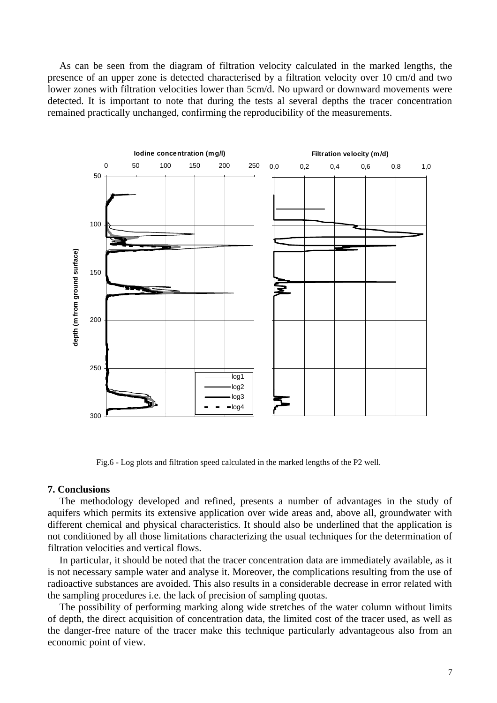As can be seen from the diagram of filtration velocity calculated in the marked lengths, the presence of an upper zone is detected characterised by a filtration velocity over 10 cm/d and two lower zones with filtration velocities lower than 5cm/d. No upward or downward movements were detected. It is important to note that during the tests al several depths the tracer concentration remained practically unchanged, confirming the reproducibility of the measurements.



Fig.6 - Log plots and filtration speed calculated in the marked lengths of the P2 well.

#### **7. Conclusions**

The methodology developed and refined, presents a number of advantages in the study of aquifers which permits its extensive application over wide areas and, above all, groundwater with different chemical and physical characteristics. It should also be underlined that the application is not conditioned by all those limitations characterizing the usual techniques for the determination of filtration velocities and vertical flows.

In particular, it should be noted that the tracer concentration data are immediately available, as it is not necessary sample water and analyse it. Moreover, the complications resulting from the use of radioactive substances are avoided. This also results in a considerable decrease in error related with the sampling procedures i.e. the lack of precision of sampling quotas.

The possibility of performing marking along wide stretches of the water column without limits of depth, the direct acquisition of concentration data, the limited cost of the tracer used, as well as the danger-free nature of the tracer make this technique particularly advantageous also from an economic point of view.